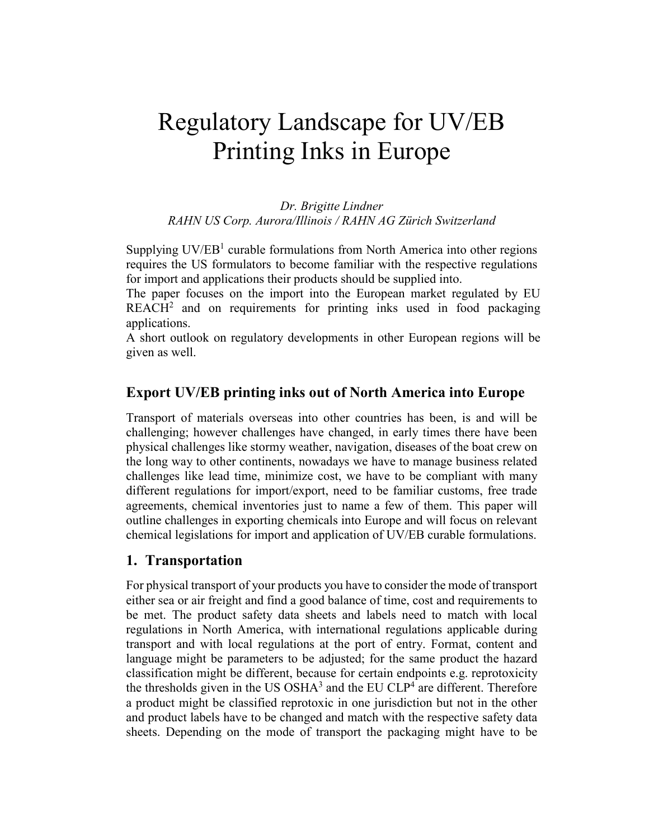# Regulatory Landscape for UV/EB Printing Inks in Europe

*Dr. Brigitte Lindner RAHN US Corp. Aurora/Illinois / RAHN AG Zürich Switzerland*

Supplying  $UV/EB<sup>1</sup>$  curable formulations from North America into other regions requires the US formulators to become familiar with the respective regulations for import and applications their products should be supplied into.

The paper focuses on the import into the European market regulated by EU  $REACH<sup>2</sup>$  and on requirements for printing inks used in food packaging applications.

A short outlook on regulatory developments in other European regions will be given as well.

## **Export UV/EB printing inks out of North America into Europe**

Transport of materials overseas into other countries has been, is and will be challenging; however challenges have changed, in early times there have been physical challenges like stormy weather, navigation, diseases of the boat crew on the long way to other continents, nowadays we have to manage business related challenges like lead time, minimize cost, we have to be compliant with many different regulations for import/export, need to be familiar customs, free trade agreements, chemical inventories just to name a few of them. This paper will outline challenges in exporting chemicals into Europe and will focus on relevant chemical legislations for import and application of UV/EB curable formulations.

### **1. Transportation**

For physical transport of your products you have to consider the mode of transport either sea or air freight and find a good balance of time, cost and requirements to be met. The product safety data sheets and labels need to match with local regulations in North America, with international regulations applicable during transport and with local regulations at the port of entry. Format, content and language might be parameters to be adjusted; for the same product the hazard classification might be different, because for certain endpoints e.g. reprotoxicity the thresholds given in the US OSH $A<sup>3</sup>$  and the EU CLP<sup>4</sup> are different. Therefore a product might be classified reprotoxic in one jurisdiction but not in the other and product labels have to be changed and match with the respective safety data sheets. Depending on the mode of transport the packaging might have to be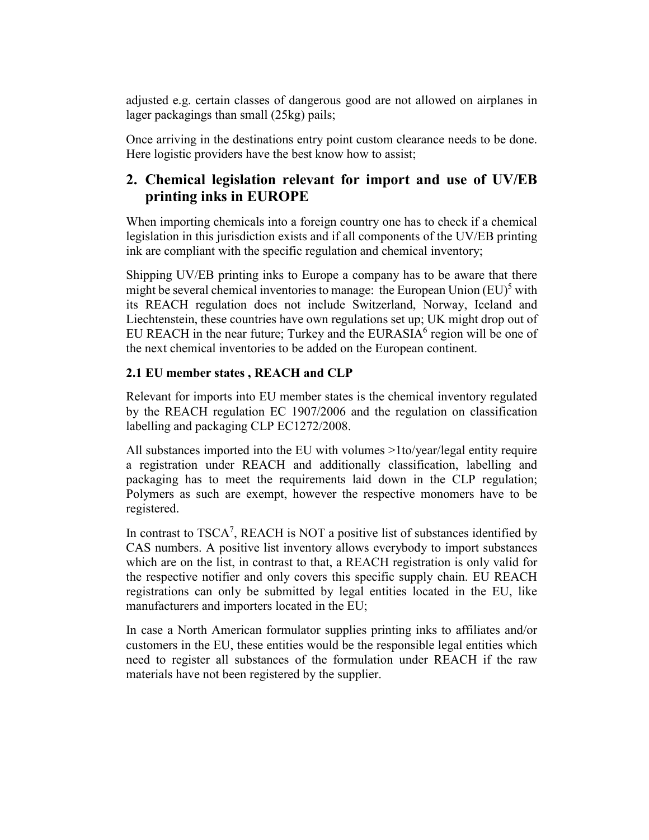adjusted e.g. certain classes of dangerous good are not allowed on airplanes in lager packagings than small (25kg) pails;

Once arriving in the destinations entry point custom clearance needs to be done. Here logistic providers have the best know how to assist;

# **2. Chemical legislation relevant for import and use of UV/EB printing inks in EUROPE**

When importing chemicals into a foreign country one has to check if a chemical legislation in this jurisdiction exists and if all components of the UV/EB printing ink are compliant with the specific regulation and chemical inventory;

Shipping UV/EB printing inks to Europe a company has to be aware that there might be several chemical inventories to manage: the European Union  $(EU)^5$  with its REACH regulation does not include Switzerland, Norway, Iceland and Liechtenstein, these countries have own regulations set up; UK might drop out of EU REACH in the near future; Turkey and the EURASIA $<sup>6</sup>$  region will be one of</sup> the next chemical inventories to be added on the European continent.

## **2.1 EU member states , REACH and CLP**

Relevant for imports into EU member states is the chemical inventory regulated by the REACH regulation EC 1907/2006 and the regulation on classification labelling and packaging CLP EC1272/2008.

All substances imported into the EU with volumes >1to/year/legal entity require a registration under REACH and additionally classification, labelling and packaging has to meet the requirements laid down in the CLP regulation; Polymers as such are exempt, however the respective monomers have to be registered.

In contrast to  $TSCA^7$ , REACH is NOT a positive list of substances identified by CAS numbers. A positive list inventory allows everybody to import substances which are on the list, in contrast to that, a REACH registration is only valid for the respective notifier and only covers this specific supply chain. EU REACH registrations can only be submitted by legal entities located in the EU, like manufacturers and importers located in the EU;

In case a North American formulator supplies printing inks to affiliates and/or customers in the EU, these entities would be the responsible legal entities which need to register all substances of the formulation under REACH if the raw materials have not been registered by the supplier.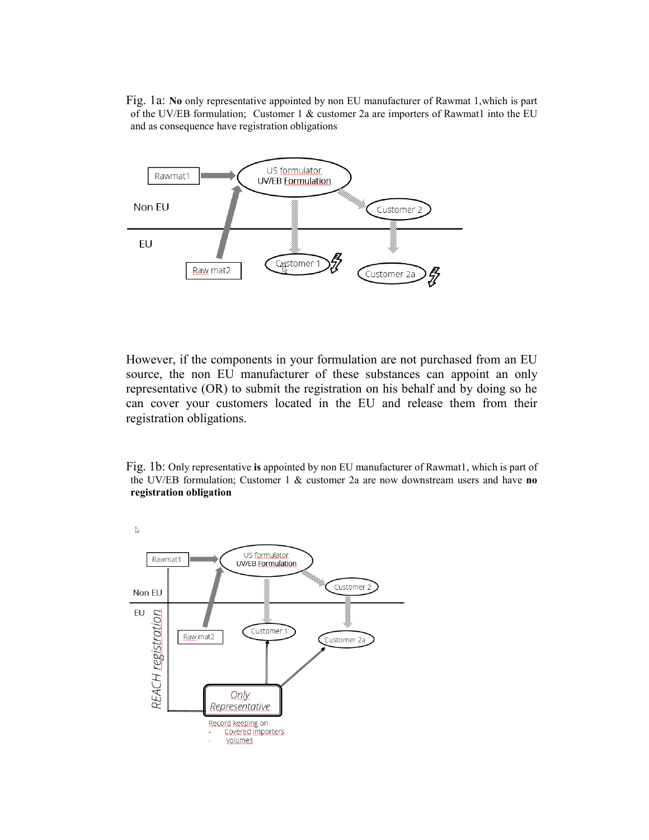Fig. 1a: **No** only representative appointed by non EU manufacturer of Rawmat 1,which is part of the UV/EB formulation; Customer 1 & customer 2a are importers of Rawmat1 into the EU and as consequence have registration obligations



However, if the components in your formulation are not purchased from an EU source, the non EU manufacturer of these substances can appoint an only representative (OR) to submit the registration on his behalf and by doing so he can cover your customers located in the EU and release them from their registration obligations.

Fig. 1b: Only representative **is** appointed by non EU manufacturer of Rawmat1, which is part of the UV/EB formulation; Customer 1 & customer 2a are now downstream users and have **no registration obligation**

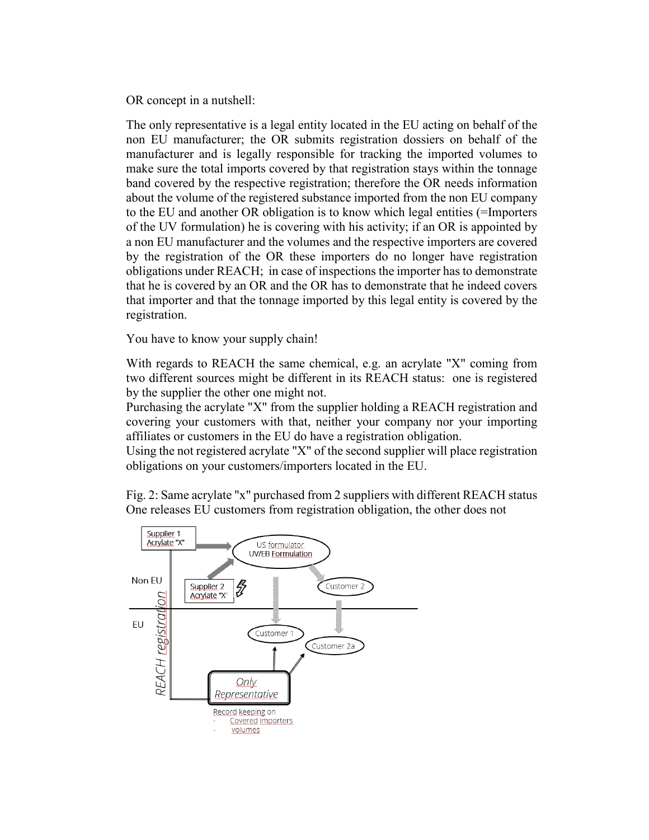OR concept in a nutshell:

The only representative is a legal entity located in the EU acting on behalf of the non EU manufacturer; the OR submits registration dossiers on behalf of the manufacturer and is legally responsible for tracking the imported volumes to make sure the total imports covered by that registration stays within the tonnage band covered by the respective registration; therefore the OR needs information about the volume of the registered substance imported from the non EU company to the EU and another OR obligation is to know which legal entities (=Importers of the UV formulation) he is covering with his activity; if an OR is appointed by a non EU manufacturer and the volumes and the respective importers are covered by the registration of the OR these importers do no longer have registration obligations under REACH; in case of inspections the importer has to demonstrate that he is covered by an OR and the OR has to demonstrate that he indeed covers that importer and that the tonnage imported by this legal entity is covered by the registration.

You have to know your supply chain!

With regards to REACH the same chemical, e.g. an acrylate "X" coming from two different sources might be different in its REACH status: one is registered by the supplier the other one might not.

Purchasing the acrylate "X" from the supplier holding a REACH registration and covering your customers with that, neither your company nor your importing affiliates or customers in the EU do have a registration obligation.

Using the not registered acrylate "X" of the second supplier will place registration obligations on your customers/importers located in the EU.

Fig. 2: Same acrylate "x" purchased from 2 suppliers with different REACH status One releases EU customers from registration obligation, the other does not

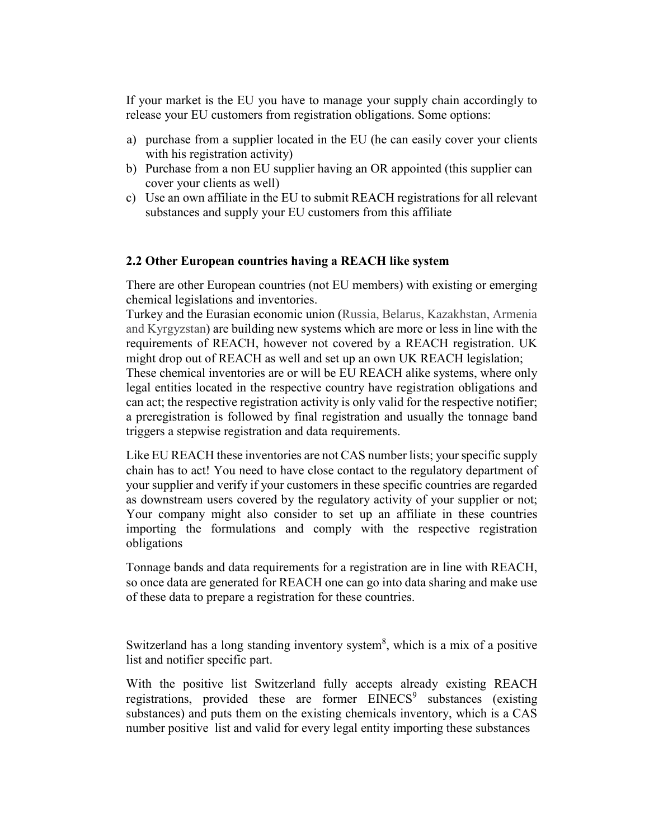If your market is the EU you have to manage your supply chain accordingly to release your EU customers from registration obligations. Some options:

- a) purchase from a supplier located in the EU (he can easily cover your clients with his registration activity)
- b) Purchase from a non EU supplier having an OR appointed (this supplier can cover your clients as well)
- c) Use an own affiliate in the EU to submit REACH registrations for all relevant substances and supply your EU customers from this affiliate

#### **2.2 Other European countries having a REACH like system**

There are other European countries (not EU members) with existing or emerging chemical legislations and inventories.

Turkey and the Eurasian economic union (Russia, Belarus, Kazakhstan, Armenia and Kyrgyzstan) are building new systems which are more or less in line with the requirements of REACH, however not covered by a REACH registration. UK might drop out of REACH as well and set up an own UK REACH legislation; These chemical inventories are or will be EU REACH alike systems, where only legal entities located in the respective country have registration obligations and can act; the respective registration activity is only valid for the respective notifier; a preregistration is followed by final registration and usually the tonnage band triggers a stepwise registration and data requirements.

Like EU REACH these inventories are not CAS number lists; your specific supply chain has to act! You need to have close contact to the regulatory department of your supplier and verify if your customers in these specific countries are regarded as downstream users covered by the regulatory activity of your supplier or not; Your company might also consider to set up an affiliate in these countries importing the formulations and comply with the respective registration obligations

Tonnage bands and data requirements for a registration are in line with REACH, so once data are generated for REACH one can go into data sharing and make use of these data to prepare a registration for these countries.

Switzerland has a long standing inventory system<sup>8</sup>, which is a mix of a positive list and notifier specific part.

With the positive list Switzerland fully accepts already existing REACH registrations, provided these are former  $EMECS<sup>9</sup>$  substances (existing substances) and puts them on the existing chemicals inventory, which is a CAS number positive list and valid for every legal entity importing these substances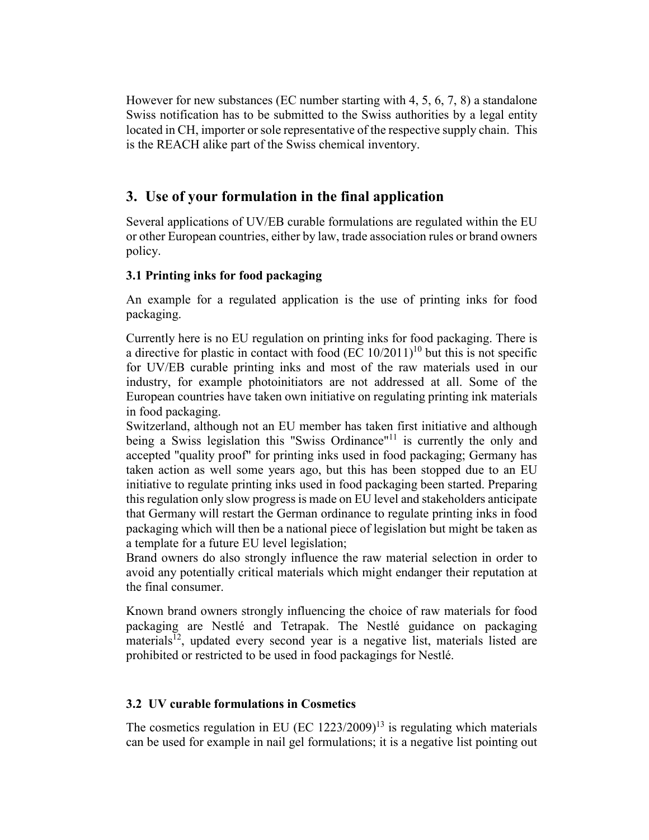However for new substances (EC number starting with 4, 5, 6, 7, 8) a standalone Swiss notification has to be submitted to the Swiss authorities by a legal entity located in CH, importer or sole representative of the respective supply chain. This is the REACH alike part of the Swiss chemical inventory.

## **3. Use of your formulation in the final application**

Several applications of UV/EB curable formulations are regulated within the EU or other European countries, either by law, trade association rules or brand owners policy.

## **3.1 Printing inks for food packaging**

An example for a regulated application is the use of printing inks for food packaging.

Currently here is no EU regulation on printing inks for food packaging. There is a directive for plastic in contact with food  $(EC 10/2011)^{10}$  but this is not specific for UV/EB curable printing inks and most of the raw materials used in our industry, for example photoinitiators are not addressed at all. Some of the European countries have taken own initiative on regulating printing ink materials in food packaging.

Switzerland, although not an EU member has taken first initiative and although being a Swiss legislation this "Swiss Ordinance"<sup>11</sup> is currently the only and accepted "quality proof" for printing inks used in food packaging; Germany has taken action as well some years ago, but this has been stopped due to an EU initiative to regulate printing inks used in food packaging been started. Preparing this regulation only slow progress is made on EU level and stakeholders anticipate that Germany will restart the German ordinance to regulate printing inks in food packaging which will then be a national piece of legislation but might be taken as a template for a future EU level legislation;

Brand owners do also strongly influence the raw material selection in order to avoid any potentially critical materials which might endanger their reputation at the final consumer.

Known brand owners strongly influencing the choice of raw materials for food packaging are Nestlé and Tetrapak. The Nestlé guidance on packaging  $materials<sup>12</sup>$ , updated every second year is a negative list, materials listed are prohibited or restricted to be used in food packagings for Nestlé.

## **3.2 UV curable formulations in Cosmetics**

The cosmetics regulation in EU (EC 1223/2009)<sup>13</sup> is regulating which materials can be used for example in nail gel formulations; it is a negative list pointing out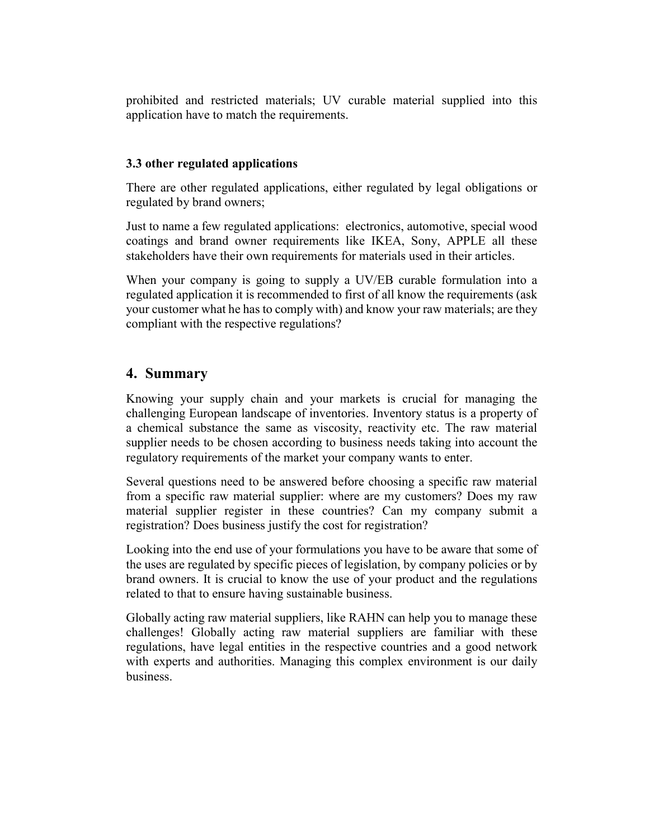prohibited and restricted materials; UV curable material supplied into this application have to match the requirements.

## **3.3 other regulated applications**

There are other regulated applications, either regulated by legal obligations or regulated by brand owners;

Just to name a few regulated applications: electronics, automotive, special wood coatings and brand owner requirements like IKEA, Sony, APPLE all these stakeholders have their own requirements for materials used in their articles.

When your company is going to supply a UV/EB curable formulation into a regulated application it is recommended to first of all know the requirements (ask your customer what he has to comply with) and know your raw materials; are they compliant with the respective regulations?

## **4. Summary**

Knowing your supply chain and your markets is crucial for managing the challenging European landscape of inventories. Inventory status is a property of a chemical substance the same as viscosity, reactivity etc. The raw material supplier needs to be chosen according to business needs taking into account the regulatory requirements of the market your company wants to enter.

Several questions need to be answered before choosing a specific raw material from a specific raw material supplier: where are my customers? Does my raw material supplier register in these countries? Can my company submit a registration? Does business justify the cost for registration?

Looking into the end use of your formulations you have to be aware that some of the uses are regulated by specific pieces of legislation, by company policies or by brand owners. It is crucial to know the use of your product and the regulations related to that to ensure having sustainable business.

Globally acting raw material suppliers, like RAHN can help you to manage these challenges! Globally acting raw material suppliers are familiar with these regulations, have legal entities in the respective countries and a good network with experts and authorities. Managing this complex environment is our daily business.